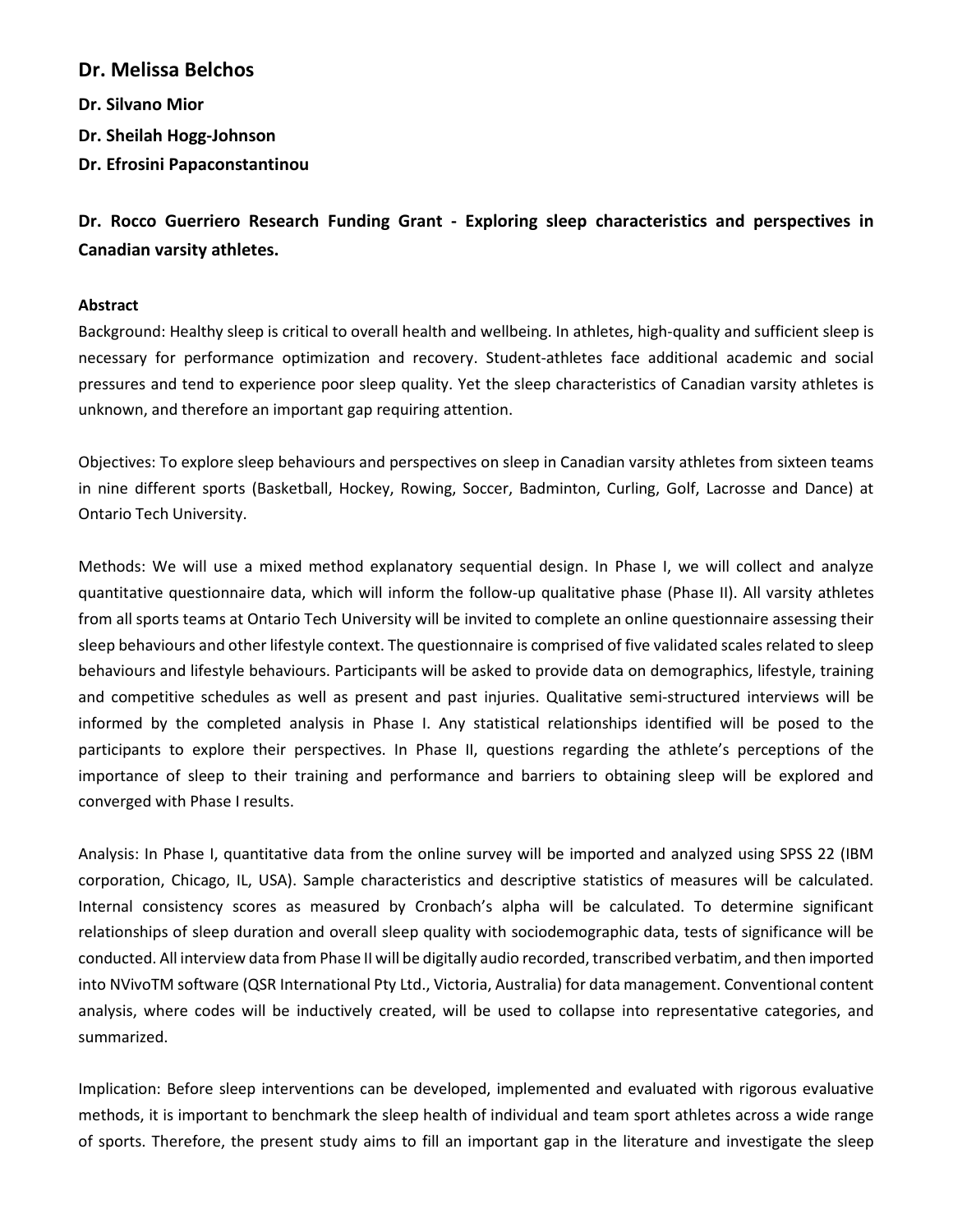## **Dr. Melissa Belchos**

**Dr. Silvano Mior**

**Dr. Sheilah Hogg-Johnson**

**Dr. Efrosini Papaconstantinou**

**Dr. Rocco Guerriero Research Funding Grant - Exploring sleep characteristics and perspectives in Canadian varsity athletes.**

## **Abstract**

Background: Healthy sleep is critical to overall health and wellbeing. In athletes, high-quality and sufficient sleep is necessary for performance optimization and recovery. Student-athletes face additional academic and social pressures and tend to experience poor sleep quality. Yet the sleep characteristics of Canadian varsity athletes is unknown, and therefore an important gap requiring attention.

Objectives: To explore sleep behaviours and perspectives on sleep in Canadian varsity athletes from sixteen teams in nine different sports (Basketball, Hockey, Rowing, Soccer, Badminton, Curling, Golf, Lacrosse and Dance) at Ontario Tech University.

Methods: We will use a mixed method explanatory sequential design. In Phase I, we will collect and analyze quantitative questionnaire data, which will inform the follow-up qualitative phase (Phase II). All varsity athletes from all sports teams at Ontario Tech University will be invited to complete an online questionnaire assessing their sleep behaviours and other lifestyle context. The questionnaire is comprised of five validated scales related to sleep behaviours and lifestyle behaviours. Participants will be asked to provide data on demographics, lifestyle, training and competitive schedules as well as present and past injuries. Qualitative semi-structured interviews will be informed by the completed analysis in Phase I. Any statistical relationships identified will be posed to the participants to explore their perspectives. In Phase II, questions regarding the athlete's perceptions of the importance of sleep to their training and performance and barriers to obtaining sleep will be explored and converged with Phase I results.

Analysis: In Phase I, quantitative data from the online survey will be imported and analyzed using SPSS 22 (IBM corporation, Chicago, IL, USA). Sample characteristics and descriptive statistics of measures will be calculated. Internal consistency scores as measured by Cronbach's alpha will be calculated. To determine significant relationships of sleep duration and overall sleep quality with sociodemographic data, tests of significance will be conducted. All interview data from Phase II will be digitally audio recorded, transcribed verbatim, and then imported into NVivoTM software (QSR International Pty Ltd., Victoria, Australia) for data management. Conventional content analysis, where codes will be inductively created, will be used to collapse into representative categories, and summarized.

Implication: Before sleep interventions can be developed, implemented and evaluated with rigorous evaluative methods, it is important to benchmark the sleep health of individual and team sport athletes across a wide range of sports. Therefore, the present study aims to fill an important gap in the literature and investigate the sleep